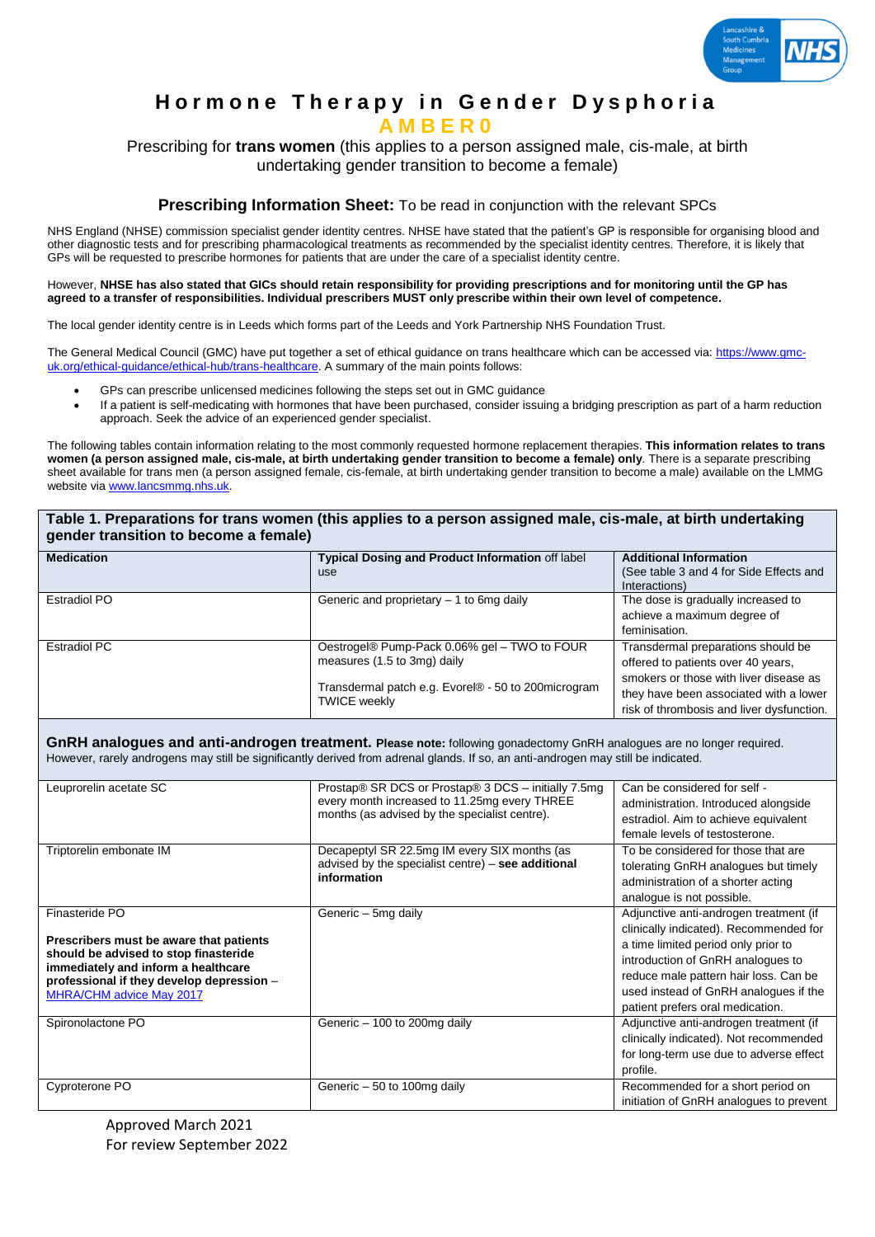

# **Hormone Therapy in Gender Dysphoria A M B E R 0**

Prescribing for **trans women** (this applies to a person assigned male, cis-male, at birth undertaking gender transition to become a female)

# **Prescribing Information Sheet:** To be read in conjunction with the relevant SPCs

NHS England (NHSE) commission specialist gender identity centres. NHSE have stated that the patient's GP is responsible for organising blood and other diagnostic tests and for prescribing pharmacological treatments as recommended by the specialist identity centres. Therefore, it is likely that GPs will be requested to prescribe hormones for patients that are under the care of a specialist identity centre.

However, **NHSE has also stated that GICs should retain responsibility for providing prescriptions and for monitoring until the GP has agreed to a transfer of responsibilities. Individual prescribers MUST only prescribe within their own level of competence.**

The local gender identity centre is in Leeds which forms part of the Leeds and York Partnership NHS Foundation Trust.

The General Medical Council (GMC) have put together a set of ethical guidance on trans healthcare which can be accessed via: [https://www.gmc](https://www.gmc-uk.org/ethical-guidance/ethical-hub/trans-healthcare)[uk.org/ethical-guidance/ethical-hub/trans-healthcare.](https://www.gmc-uk.org/ethical-guidance/ethical-hub/trans-healthcare) A summary of the main points follows:

- GPs can prescribe unlicensed medicines following the steps set out in GMC guidance
- If a patient is self-medicating with hormones that have been purchased, consider issuing a bridging prescription as part of a harm reduction approach. Seek the advice of an experienced gender specialist.

The following tables contain information relating to the most commonly requested hormone replacement therapies. **This information relates to trans women (a person assigned male, cis-male, at birth undertaking gender transition to become a female) only**. There is a separate prescribing sheet available for trans men (a person assigned female, cis-female, at birth undertaking gender transition to become a male) available on the LMMG website via [www.lancsmmg.nhs.uk.](http://www.lancsmmg.nhs.uk/)

| Table 1. Preparations for trans women (this applies to a person assigned male, cis-male, at birth undertaking |  |  |
|---------------------------------------------------------------------------------------------------------------|--|--|
| gender transition to become a female)                                                                         |  |  |

| <b>Medication</b> | Typical Dosing and Product Information off label    | <b>Additional Information</b>             |
|-------------------|-----------------------------------------------------|-------------------------------------------|
|                   | use                                                 | (See table 3 and 4 for Side Effects and   |
|                   |                                                     | Interactions)                             |
| Estradiol PO      | Generic and proprietary $-1$ to 6mg daily           | The dose is gradually increased to        |
|                   |                                                     | achieve a maximum degree of               |
|                   |                                                     | feminisation.                             |
| Estradiol PC      | Oestrogel® Pump-Pack 0.06% gel - TWO to FOUR        | Transdermal preparations should be        |
|                   | measures (1.5 to 3mg) daily                         | offered to patients over 40 years,        |
|                   | Transdermal patch e.g. Evorel® - 50 to 200microgram | smokers or those with liver disease as    |
|                   |                                                     | they have been associated with a lower    |
|                   | <b>TWICE weekly</b>                                 | risk of thrombosis and liver dysfunction. |

**GnRH analogues and anti-androgen treatment. Please note:** following gonadectomy GnRH analogues are no longer required. However, rarely androgens may still be significantly derived from adrenal glands. If so, an anti-androgen may still be indicated.

| Leuprorelin acetate SC                                                                                                                                                                                                    | Prostap® SR DCS or Prostap® 3 DCS – initially 7.5mg<br>every month increased to 11.25mg every THREE<br>months (as advised by the specialist centre). | Can be considered for self -<br>administration. Introduced alongside<br>estradiol. Aim to achieve equivalent<br>female levels of testosterone.                                                                                                                                     |
|---------------------------------------------------------------------------------------------------------------------------------------------------------------------------------------------------------------------------|------------------------------------------------------------------------------------------------------------------------------------------------------|------------------------------------------------------------------------------------------------------------------------------------------------------------------------------------------------------------------------------------------------------------------------------------|
| Triptorelin embonate IM                                                                                                                                                                                                   | Decapeptyl SR 22.5mg IM every SIX months (as<br>advised by the specialist centre) - see additional<br>information                                    | To be considered for those that are<br>tolerating GnRH analogues but timely<br>administration of a shorter acting<br>analogue is not possible.                                                                                                                                     |
| Finasteride PO<br>Prescribers must be aware that patients<br>should be advised to stop finasteride<br>immediately and inform a healthcare<br>professional if they develop depression -<br><b>MHRA/CHM advice May 2017</b> | Generic - 5mg daily                                                                                                                                  | Adjunctive anti-androgen treatment (if<br>clinically indicated). Recommended for<br>a time limited period only prior to<br>introduction of GnRH analogues to<br>reduce male pattern hair loss. Can be<br>used instead of GnRH analogues if the<br>patient prefers oral medication. |
| Spironolactone PO                                                                                                                                                                                                         | Generic - 100 to 200mg daily                                                                                                                         | Adjunctive anti-androgen treatment (if<br>clinically indicated). Not recommended<br>for long-term use due to adverse effect<br>profile.                                                                                                                                            |
| Cyproterone PO                                                                                                                                                                                                            | Generic - 50 to 100mg daily                                                                                                                          | Recommended for a short period on<br>initiation of GnRH analogues to prevent                                                                                                                                                                                                       |

Approved March 2021 For review September 2022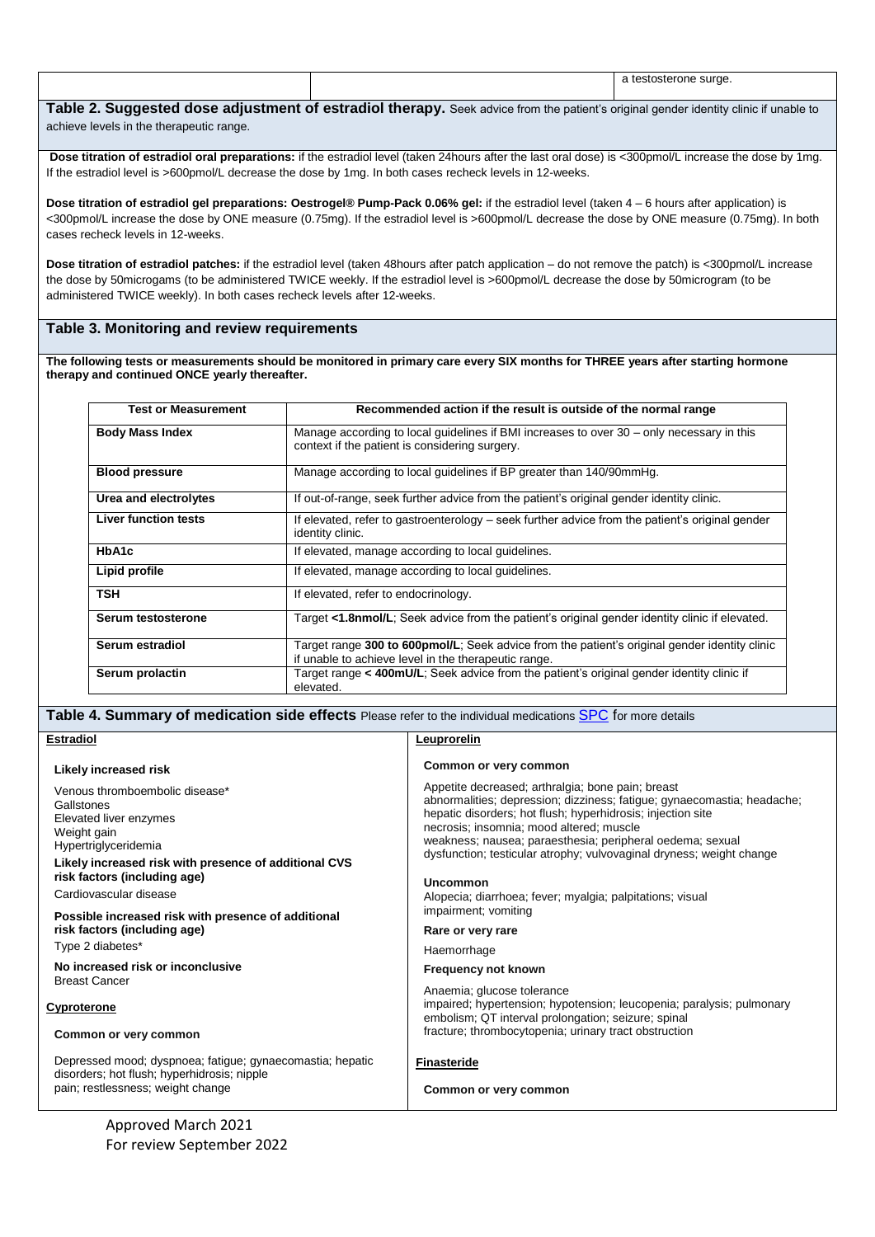|                                                                                                                                      |  | a testosterone surge. |
|--------------------------------------------------------------------------------------------------------------------------------------|--|-----------------------|
|                                                                                                                                      |  |                       |
| Table 2. Suggested dose adjustment of estradiol therapy. Seek advice from the patient's original gender identity clinic if unable to |  |                       |

achieve levels in the therapeutic range.

**Dose titration of estradiol oral preparations:** if the estradiol level (taken 24hours after the last oral dose) is <300pmol/L increase the dose by 1mg. If the estradiol level is >600pmol/L decrease the dose by 1mg. In both cases recheck levels in 12-weeks.

**Dose titration of estradiol gel preparations: Oestrogel® Pump-Pack 0.06% gel:** if the estradiol level (taken 4 – 6 hours after application) is <300pmol/L increase the dose by ONE measure (0.75mg). If the estradiol level is >600pmol/L decrease the dose by ONE measure (0.75mg). In both cases recheck levels in 12-weeks.

**Dose titration of estradiol patches:** if the estradiol level (taken 48hours after patch application – do not remove the patch) is <300pmol/L increase the dose by 50microgams (to be administered TWICE weekly. If the estradiol level is >600pmol/L decrease the dose by 50microgram (to be administered TWICE weekly). In both cases recheck levels after 12-weeks.

## **Table 3. Monitoring and review requirements**

**The following tests or measurements should be monitored in primary care every SIX months for THREE years after starting hormone therapy and continued ONCE yearly thereafter.** 

| <b>Test or Measurement</b>  | Recommended action if the result is outside of the normal range                                                                                       |
|-----------------------------|-------------------------------------------------------------------------------------------------------------------------------------------------------|
| <b>Body Mass Index</b>      | Manage according to local guidelines if BMI increases to over 30 – only necessary in this<br>context if the patient is considering surgery.           |
| <b>Blood pressure</b>       | Manage according to local quidelines if BP greater than 140/90mmHg.                                                                                   |
| Urea and electrolytes       | If out-of-range, seek further advice from the patient's original gender identity clinic.                                                              |
| <b>Liver function tests</b> | If elevated, refer to gastroenterology – seek further advice from the patient's original gender<br>identity clinic.                                   |
| HbA1c                       | If elevated, manage according to local guidelines.                                                                                                    |
| Lipid profile               | If elevated, manage according to local guidelines.                                                                                                    |
| <b>TSH</b>                  | If elevated, refer to endocrinology.                                                                                                                  |
| Serum testosterone          | Target <1.8nmol/L: Seek advice from the patient's original gender identity clinic if elevated.                                                        |
| Serum estradiol             | Target range 300 to 600pmol/L; Seek advice from the patient's original gender identity clinic<br>if unable to achieve level in the therapeutic range. |
| Serum prolactin             | Target range < 400mU/L; Seek advice from the patient's original gender identity clinic if<br>elevated.                                                |

## **Table 4. Summary of medication side effects** Please refer to the individual medications [SPC](https://www.medicines.org.uk/emc/) for more details

#### **Estradiol**

| Leuprorelin |  |
|-------------|--|
|-------------|--|

| Likely increased risk                                                                                                                         | Common or very common                                                                                                                                                                                                                                                                                                                                                        |
|-----------------------------------------------------------------------------------------------------------------------------------------------|------------------------------------------------------------------------------------------------------------------------------------------------------------------------------------------------------------------------------------------------------------------------------------------------------------------------------------------------------------------------------|
| Venous thromboembolic disease*<br>Gallstones<br>Elevated liver enzymes<br>Weight gain<br>Hypertriglyceridemia                                 | Appetite decreased; arthralgia; bone pain; breast<br>abnormalities; depression; dizziness; fatigue; gynaecomastia; headache;<br>hepatic disorders; hot flush; hyperhidrosis; injection site<br>necrosis; insomnia; mood altered; muscle<br>weakness; nausea; paraesthesia; peripheral oedema; sexual<br>dysfunction; testicular atrophy; vulvovaginal dryness; weight change |
| Likely increased risk with presence of additional CVS<br>risk factors (including age)                                                         |                                                                                                                                                                                                                                                                                                                                                                              |
| Cardiovascular disease                                                                                                                        | Uncommon<br>Alopecia; diarrhoea; fever; myalgia; palpitations; visual                                                                                                                                                                                                                                                                                                        |
| Possible increased risk with presence of additional<br>risk factors (including age)                                                           | impairment; vomiting<br>Rare or very rare                                                                                                                                                                                                                                                                                                                                    |
| Type 2 diabetes*                                                                                                                              | Haemorrhage                                                                                                                                                                                                                                                                                                                                                                  |
| No increased risk or inconclusive<br><b>Breast Cancer</b>                                                                                     | <b>Frequency not known</b>                                                                                                                                                                                                                                                                                                                                                   |
| <b>Cyproterone</b>                                                                                                                            | Anaemia; glucose tolerance<br>impaired; hypertension; hypotension; leucopenia; paralysis; pulmonary<br>embolism; QT interval prolongation; seizure; spinal                                                                                                                                                                                                                   |
| Common or very common                                                                                                                         | fracture; thrombocytopenia; urinary tract obstruction                                                                                                                                                                                                                                                                                                                        |
| Depressed mood; dyspnoea; fatigue; gynaecomastia; hepatic<br>disorders; hot flush; hyperhidrosis; nipple<br>pain; restlessness; weight change | Finasteride<br>Common or very common                                                                                                                                                                                                                                                                                                                                         |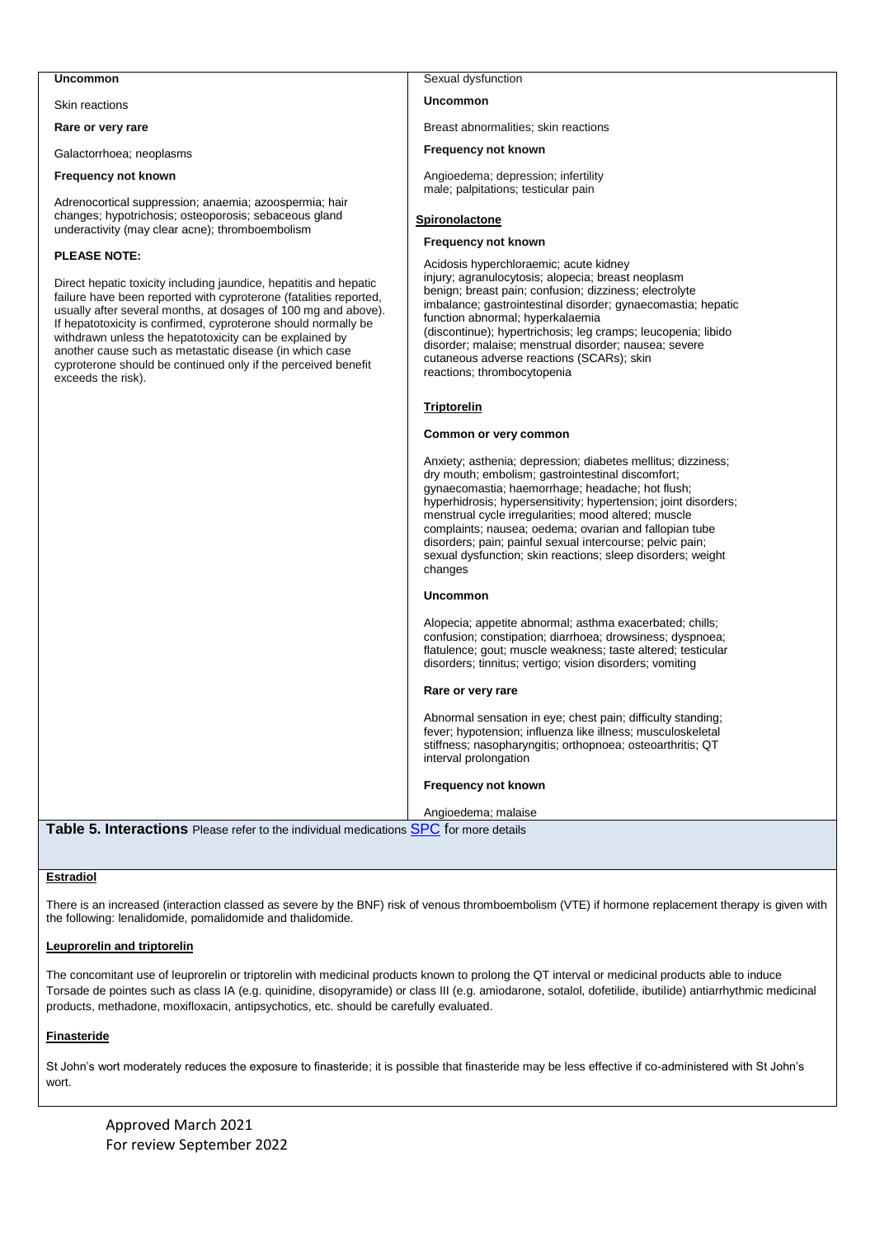## **Uncommon**

Skin reactions

**Rare or very rare**

Galactorrhoea; neoplasms

#### **Frequency not known**

Adrenocortical suppression; anaemia; azoospermia; hair changes; hypotrichosis; osteoporosis; sebaceous gland underactivity (may clear acne); thromboembolism

### **PLEASE NOTE:**

Direct hepatic toxicity including jaundice, hepatitis and hepatic failure have been reported with cyproterone (fatalities reported, usually after several months, at dosages of 100 mg and above). If hepatotoxicity is confirmed, cyproterone should normally be withdrawn unless the hepatotoxicity can be explained by another cause such as metastatic disease (in which case cyproterone should be continued only if the perceived benefit exceeds the risk).

## Sexual dysfunction

#### **Uncommon**

Breast abnormalities; skin reactions

#### **Frequency not known**

Angioedema; depression; infertility male; palpitations; testicular pain

### **Spironolactone**

#### **Frequency not known**

Acidosis hyperchloraemic; acute kidney injury; agranulocytosis; alopecia; breast neoplasm benign; breast pain; confusion; dizziness; electrolyte imbalance; gastrointestinal disorder; gynaecomastia; hepatic function abnormal; hyperkalaemia (discontinue); hypertrichosis; leg cramps; leucopenia; libido disorder; malaise; menstrual disorder; nausea; severe cutaneous adverse reactions (SCARs); skin reactions; thrombocytopenia

## **Triptorelin**

#### **Common or very common**

Anxiety; asthenia; depression; diabetes mellitus; dizziness; dry mouth; embolism; gastrointestinal discomfort; gynaecomastia; haemorrhage; headache; hot flush; hyperhidrosis; hypersensitivity; hypertension; joint disorders; menstrual cycle irregularities; mood altered; muscle complaints; nausea; oedema; ovarian and fallopian tube disorders; pain; painful sexual intercourse; pelvic pain; sexual dysfunction; skin reactions; sleep disorders; weight changes

#### **Uncommon**

Alopecia; appetite abnormal; asthma exacerbated; chills; confusion; constipation; diarrhoea; drowsiness; dyspnoea; flatulence; gout; muscle weakness; taste altered; testicular disorders; tinnitus; vertigo; vision disorders; vomiting

#### **Rare or very rare**

Abnormal sensation in eye; chest pain; difficulty standing; fever; hypotension; influenza like illness; musculoskeletal stiffness; nasopharyngitis; orthopnoea; osteoarthritis; QT interval prolongation

#### **Frequency not known**

Angioedema; malaise

**Table 5. Interactions** Please refer to the individual medications [SPC](https://www.medicines.org.uk/emc/) for more details

## **Estradiol**

There is an increased (interaction classed as severe by the BNF) risk of venous thromboembolism (VTE) if hormone replacement therapy is given with the following: lenalidomide, pomalidomide and thalidomide.

## **Leuprorelin and triptorelin**

The concomitant use of leuprorelin or triptorelin with medicinal products known to prolong the QT interval or medicinal products able to induce Torsade de pointes such as class IA (e.g. quinidine, disopyramide) or class III (e.g. amiodarone, sotalol, dofetilide, ibutilide) antiarrhythmic medicinal products, methadone, moxifloxacin, antipsychotics, etc. should be carefully evaluated.

## **Finasteride**

St John's wort moderately reduces the exposure to finasteride; it is possible that finasteride may be less effective if co-administered with St John's wort.

Approved March 2021 For review September 2022